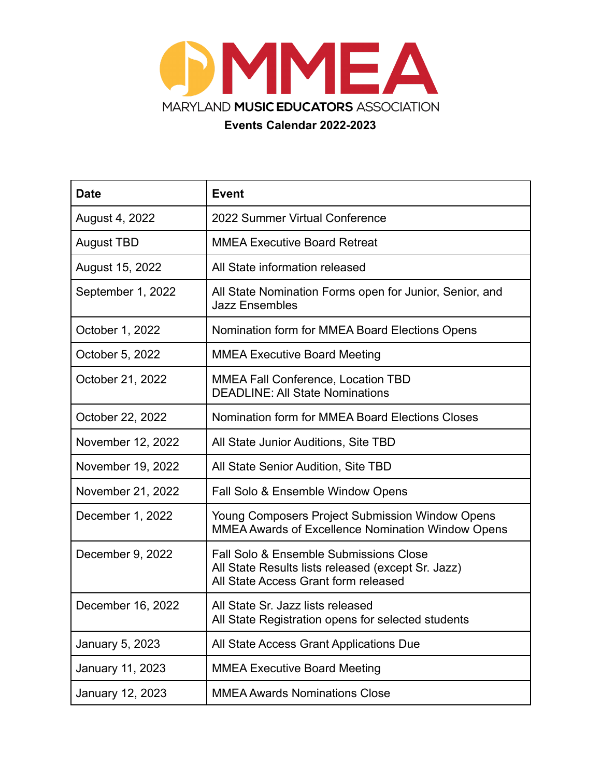

**Events Calendar 2022-2023**

| <b>Date</b>       | <b>Event</b>                                                                                                                                    |
|-------------------|-------------------------------------------------------------------------------------------------------------------------------------------------|
| August 4, 2022    | 2022 Summer Virtual Conference                                                                                                                  |
| <b>August TBD</b> | <b>MMEA Executive Board Retreat</b>                                                                                                             |
| August 15, 2022   | All State information released                                                                                                                  |
| September 1, 2022 | All State Nomination Forms open for Junior, Senior, and<br><b>Jazz Ensembles</b>                                                                |
| October 1, 2022   | Nomination form for MMEA Board Elections Opens                                                                                                  |
| October 5, 2022   | <b>MMEA Executive Board Meeting</b>                                                                                                             |
| October 21, 2022  | <b>MMEA Fall Conference, Location TBD</b><br><b>DEADLINE: All State Nominations</b>                                                             |
| October 22, 2022  | Nomination form for MMEA Board Elections Closes                                                                                                 |
| November 12, 2022 | All State Junior Auditions, Site TBD                                                                                                            |
| November 19, 2022 | All State Senior Audition, Site TBD                                                                                                             |
| November 21, 2022 | Fall Solo & Ensemble Window Opens                                                                                                               |
| December 1, 2022  | Young Composers Project Submission Window Opens<br><b>MMEA Awards of Excellence Nomination Window Opens</b>                                     |
| December 9, 2022  | <b>Fall Solo &amp; Ensemble Submissions Close</b><br>All State Results lists released (except Sr. Jazz)<br>All State Access Grant form released |
| December 16, 2022 | All State Sr. Jazz lists released<br>All State Registration opens for selected students                                                         |
| January 5, 2023   | All State Access Grant Applications Due                                                                                                         |
| January 11, 2023  | <b>MMEA Executive Board Meeting</b>                                                                                                             |
| January 12, 2023  | <b>MMEA Awards Nominations Close</b>                                                                                                            |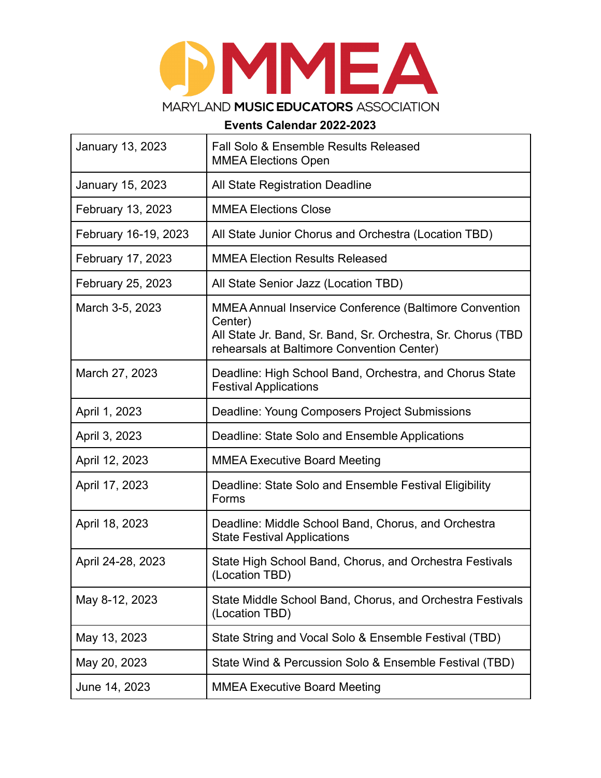## MMEA MARYLAND MUSIC EDUCATORS ASSOCIATION

## **Events Calendar 2022-2023**

| January 13, 2023     | <b>Fall Solo &amp; Ensemble Results Released</b><br><b>MMEA Elections Open</b>                              |
|----------------------|-------------------------------------------------------------------------------------------------------------|
| January 15, 2023     | All State Registration Deadline                                                                             |
| February 13, 2023    | <b>MMEA Elections Close</b>                                                                                 |
| February 16-19, 2023 | All State Junior Chorus and Orchestra (Location TBD)                                                        |
| February 17, 2023    | <b>MMEA Election Results Released</b>                                                                       |
| February 25, 2023    | All State Senior Jazz (Location TBD)                                                                        |
| March 3-5, 2023      | <b>MMEA Annual Inservice Conference (Baltimore Convention</b><br>Center)                                    |
|                      | All State Jr. Band, Sr. Band, Sr. Orchestra, Sr. Chorus (TBD)<br>rehearsals at Baltimore Convention Center) |
| March 27, 2023       | Deadline: High School Band, Orchestra, and Chorus State<br><b>Festival Applications</b>                     |
| April 1, 2023        | Deadline: Young Composers Project Submissions                                                               |
| April 3, 2023        | Deadline: State Solo and Ensemble Applications                                                              |
| April 12, 2023       | <b>MMEA Executive Board Meeting</b>                                                                         |
| April 17, 2023       | Deadline: State Solo and Ensemble Festival Eligibility<br>Forms                                             |
| April 18, 2023       | Deadline: Middle School Band, Chorus, and Orchestra<br><b>State Festival Applications</b>                   |
| April 24-28, 2023    | State High School Band, Chorus, and Orchestra Festivals<br>(Location TBD)                                   |
| May 8-12, 2023       | State Middle School Band, Chorus, and Orchestra Festivals<br>(Location TBD)                                 |
| May 13, 2023         | State String and Vocal Solo & Ensemble Festival (TBD)                                                       |
| May 20, 2023         | State Wind & Percussion Solo & Ensemble Festival (TBD)                                                      |
| June 14, 2023        | <b>MMEA Executive Board Meeting</b>                                                                         |